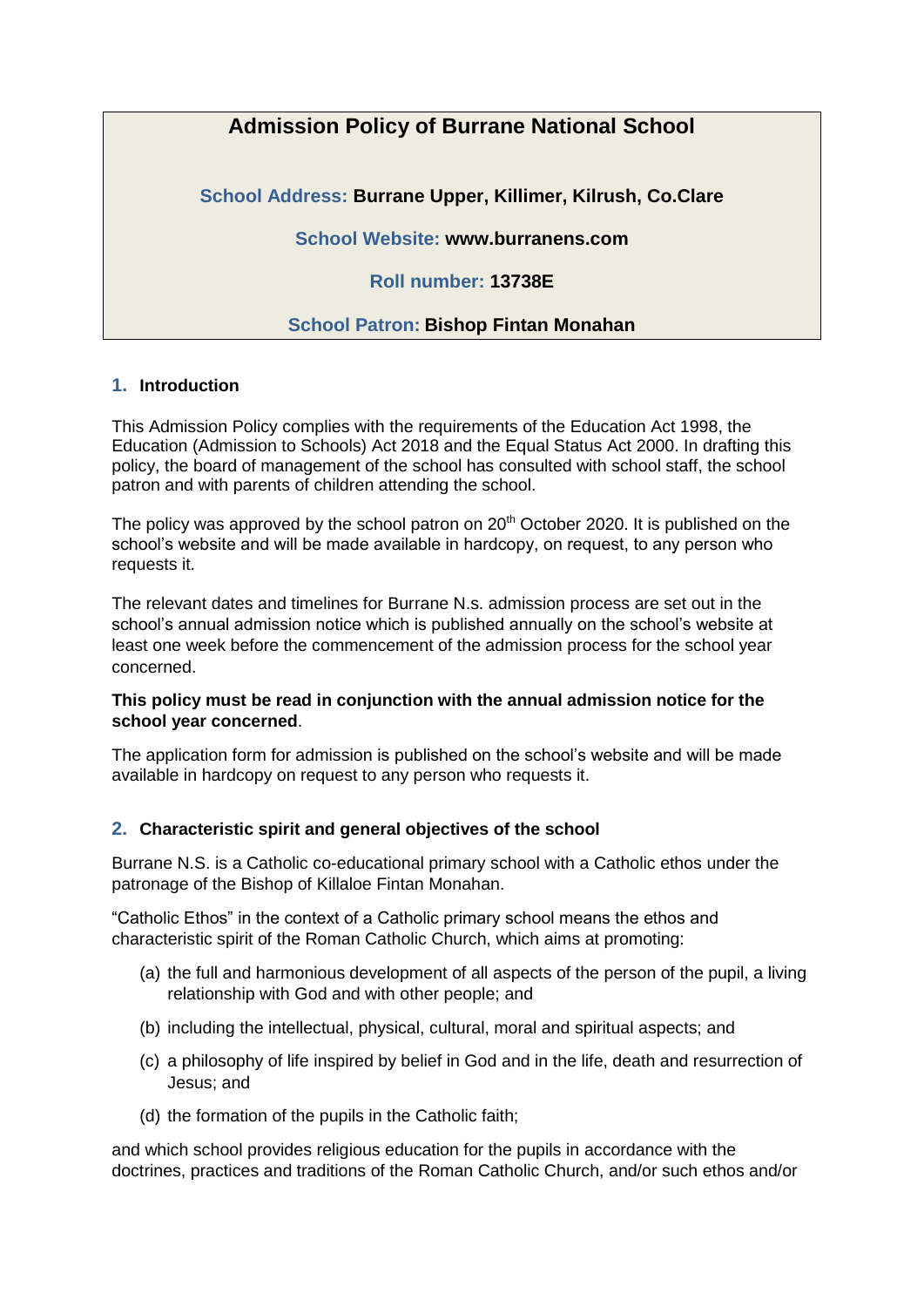# **Admission Policy of Burrane National School**

**School Address: Burrane Upper, Killimer, Kilrush, Co.Clare**

**School Website: www.burranens.com**

**Roll number: 13738E**

## **School Patron: Bishop Fintan Monahan**

## **1. Introduction**

This Admission Policy complies with the requirements of the Education Act 1998, the Education (Admission to Schools) Act 2018 and the Equal Status Act 2000. In drafting this policy, the board of management of the school has consulted with school staff, the school patron and with parents of children attending the school.

The policy was approved by the school patron on  $20<sup>th</sup>$  October 2020. It is published on the school's website and will be made available in hardcopy, on request, to any person who requests it.

The relevant dates and timelines for Burrane N.s. admission process are set out in the school's annual admission notice which is published annually on the school's website at least one week before the commencement of the admission process for the school year concerned.

#### **This policy must be read in conjunction with the annual admission notice for the school year concerned**.

The application form for admission is published on the school's website and will be made available in hardcopy on request to any person who requests it.

#### **2. Characteristic spirit and general objectives of the school**

Burrane N.S. is a Catholic co-educational primary school with a Catholic ethos under the patronage of the Bishop of Killaloe Fintan Monahan.

"Catholic Ethos" in the context of a Catholic primary school means the ethos and characteristic spirit of the Roman Catholic Church, which aims at promoting:

- (a) the full and harmonious development of all aspects of the person of the pupil, a living relationship with God and with other people; and
- (b) including the intellectual, physical, cultural, moral and spiritual aspects; and
- (c) a philosophy of life inspired by belief in God and in the life, death and resurrection of Jesus; and
- (d) the formation of the pupils in the Catholic faith;

and which school provides religious education for the pupils in accordance with the doctrines, practices and traditions of the Roman Catholic Church, and/or such ethos and/or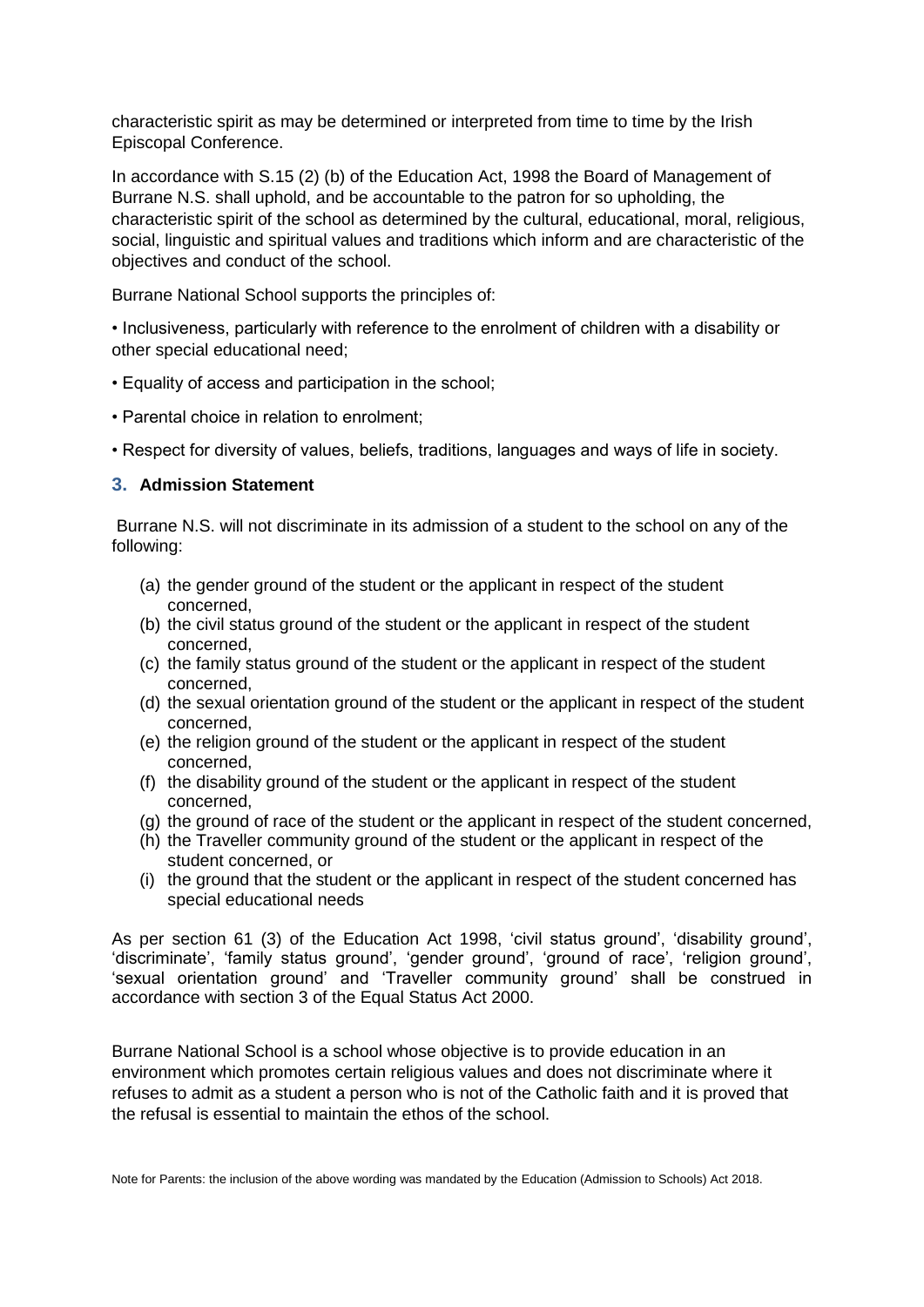characteristic spirit as may be determined or interpreted from time to time by the Irish Episcopal Conference.

In accordance with S.15 (2) (b) of the Education Act, 1998 the Board of Management of Burrane N.S. shall uphold, and be accountable to the patron for so upholding, the characteristic spirit of the school as determined by the cultural, educational, moral, religious, social, linguistic and spiritual values and traditions which inform and are characteristic of the objectives and conduct of the school.

Burrane National School supports the principles of:

• Inclusiveness, particularly with reference to the enrolment of children with a disability or other special educational need;

- Equality of access and participation in the school;
- Parental choice in relation to enrolment;

• Respect for diversity of values, beliefs, traditions, languages and ways of life in society.

#### **3. Admission Statement**

Burrane N.S. will not discriminate in its admission of a student to the school on any of the following:

- (a) the gender ground of the student or the applicant in respect of the student concerned,
- (b) the civil status ground of the student or the applicant in respect of the student concerned,
- (c) the family status ground of the student or the applicant in respect of the student concerned,
- (d) the sexual orientation ground of the student or the applicant in respect of the student concerned,
- (e) the religion ground of the student or the applicant in respect of the student concerned,
- (f) the disability ground of the student or the applicant in respect of the student concerned,
- (g) the ground of race of the student or the applicant in respect of the student concerned,
- (h) the Traveller community ground of the student or the applicant in respect of the student concerned, or
- (i) the ground that the student or the applicant in respect of the student concerned has special educational needs

As per section 61 (3) of the Education Act 1998, 'civil status ground', 'disability ground', 'discriminate', 'family status ground', 'gender ground', 'ground of race', 'religion ground', 'sexual orientation ground' and 'Traveller community ground' shall be construed in accordance with section 3 of the Equal Status Act 2000.

Burrane National School is a school whose objective is to provide education in an environment which promotes certain religious values and does not discriminate where it refuses to admit as a student a person who is not of the Catholic faith and it is proved that the refusal is essential to maintain the ethos of the school.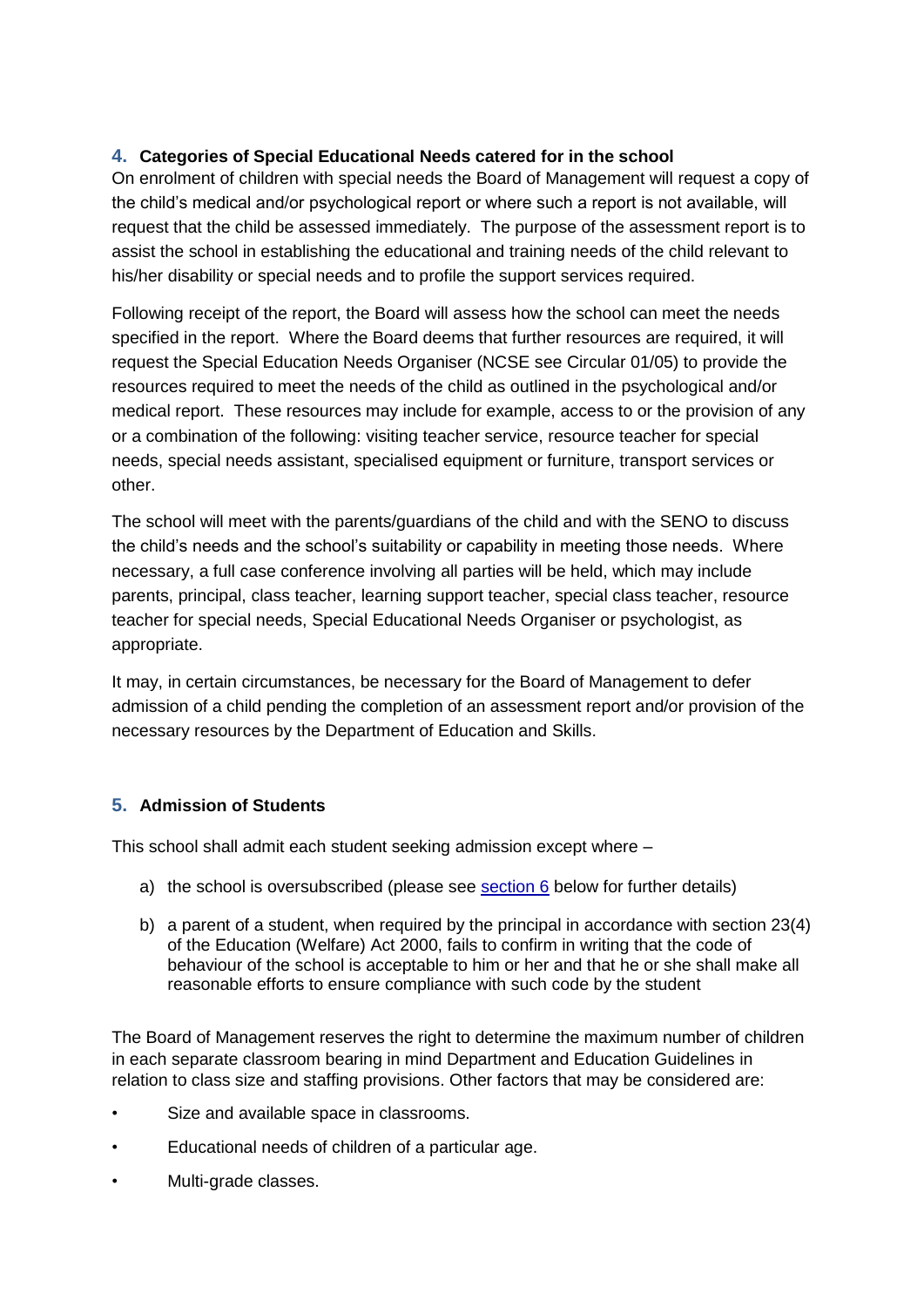## **4. Categories of Special Educational Needs catered for in the school**

On enrolment of children with special needs the Board of Management will request a copy of the child's medical and/or psychological report or where such a report is not available, will request that the child be assessed immediately. The purpose of the assessment report is to assist the school in establishing the educational and training needs of the child relevant to his/her disability or special needs and to profile the support services required.

Following receipt of the report, the Board will assess how the school can meet the needs specified in the report. Where the Board deems that further resources are required, it will request the Special Education Needs Organiser (NCSE see Circular 01/05) to provide the resources required to meet the needs of the child as outlined in the psychological and/or medical report. These resources may include for example, access to or the provision of any or a combination of the following: visiting teacher service, resource teacher for special needs, special needs assistant, specialised equipment or furniture, transport services or other.

The school will meet with the parents/guardians of the child and with the SENO to discuss the child's needs and the school's suitability or capability in meeting those needs. Where necessary, a full case conference involving all parties will be held, which may include parents, principal, class teacher, learning support teacher, special class teacher, resource teacher for special needs, Special Educational Needs Organiser or psychologist, as appropriate.

It may, in certain circumstances, be necessary for the Board of Management to defer admission of a child pending the completion of an assessment report and/or provision of the necessary resources by the Department of Education and Skills.

## **5. Admission of Students**

This school shall admit each student seeking admission except where –

- a) the school is oversubscribed (please see  $section 6$  below for further details)
- b) a parent of a student, when required by the principal in accordance with section 23(4) of the Education (Welfare) Act 2000, fails to confirm in writing that the code of behaviour of the school is acceptable to him or her and that he or she shall make all reasonable efforts to ensure compliance with such code by the student

The Board of Management reserves the right to determine the maximum number of children in each separate classroom bearing in mind Department and Education Guidelines in relation to class size and staffing provisions. Other factors that may be considered are:

- Size and available space in classrooms.
- Educational needs of children of a particular age.
- Multi-grade classes.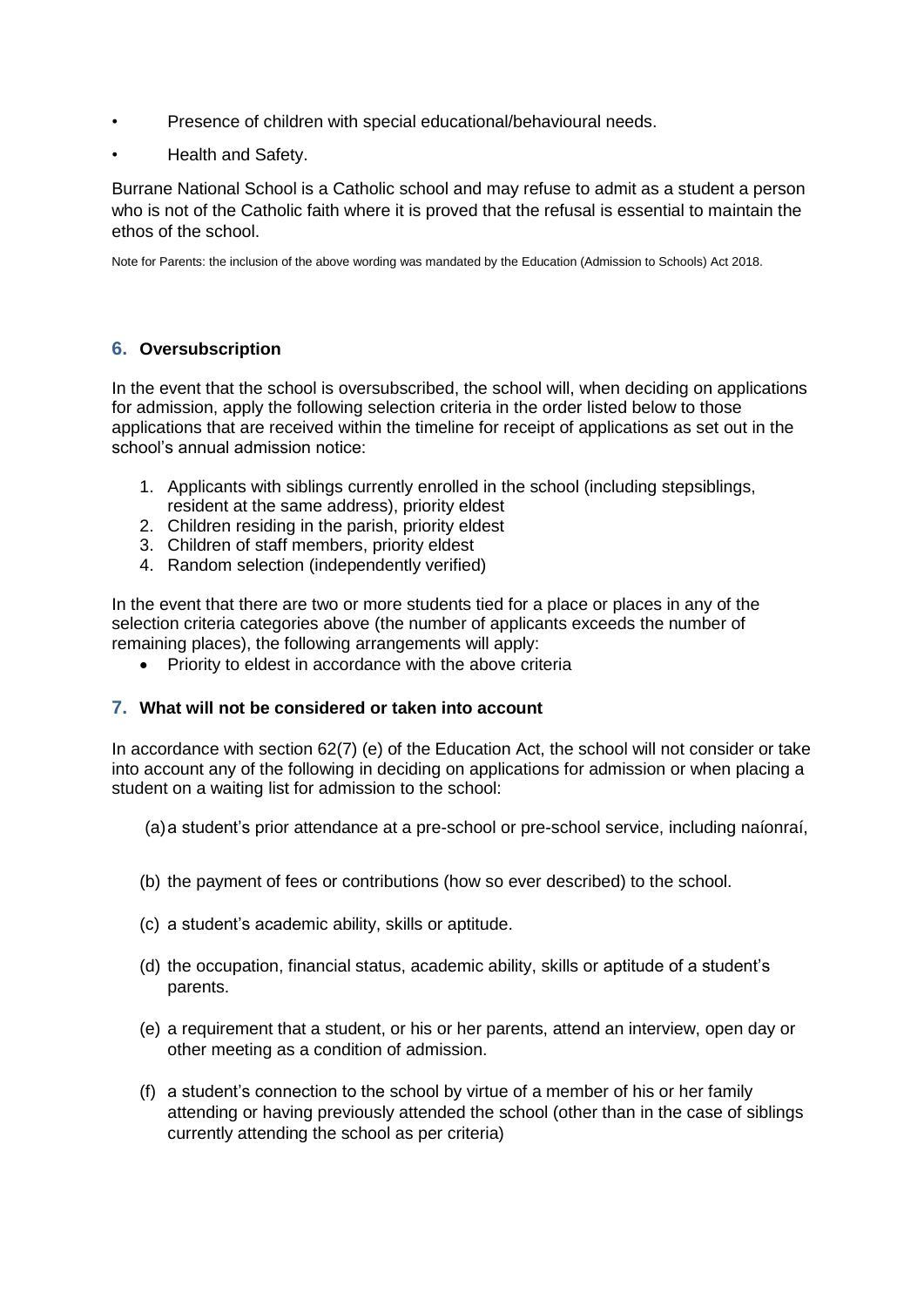- Presence of children with special educational/behavioural needs.
- Health and Safety.

Burrane National School is a Catholic school and may refuse to admit as a student a person who is not of the Catholic faith where it is proved that the refusal is essential to maintain the ethos of the school.

Note for Parents: the inclusion of the above wording was mandated by the Education (Admission to Schools) Act 2018.

## **6. Oversubscription**

In the event that the school is oversubscribed, the school will, when deciding on applications for admission, apply the following selection criteria in the order listed below to those applications that are received within the timeline for receipt of applications as set out in the school's annual admission notice:

- 1. Applicants with siblings currently enrolled in the school (including stepsiblings, resident at the same address), priority eldest
- 2. Children residing in the parish, priority eldest
- 3. Children of staff members, priority eldest
- 4. Random selection (independently verified)

In the event that there are two or more students tied for a place or places in any of the selection criteria categories above (the number of applicants exceeds the number of remaining places), the following arrangements will apply:

• Priority to eldest in accordance with the above criteria

#### **7. What will not be considered or taken into account**

In accordance with section 62(7) (e) of the Education Act, the school will not consider or take into account any of the following in deciding on applications for admission or when placing a student on a waiting list for admission to the school:

(a)a student's prior attendance at a pre-school or pre-school service, including naíonraí,

- (b) the payment of fees or contributions (how so ever described) to the school.
- (c) a student's academic ability, skills or aptitude.
- (d) the occupation, financial status, academic ability, skills or aptitude of a student's parents.
- (e) a requirement that a student, or his or her parents, attend an interview, open day or other meeting as a condition of admission.
- (f) a student's connection to the school by virtue of a member of his or her family attending or having previously attended the school (other than in the case of siblings currently attending the school as per criteria)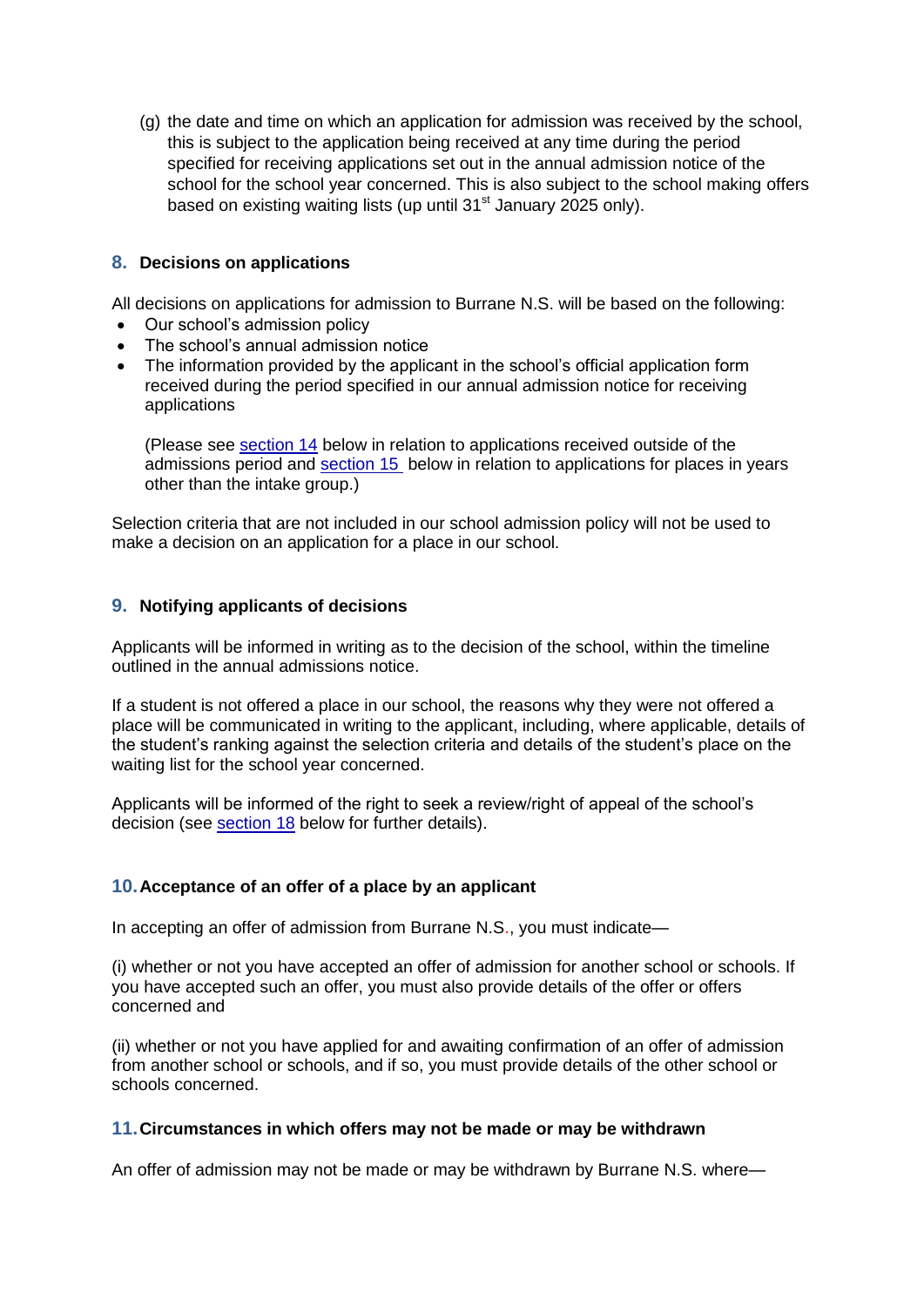(g) the date and time on which an application for admission was received by the school, this is subject to the application being received at any time during the period specified for receiving applications set out in the annual admission notice of the school for the school year concerned. This is also subject to the school making offers based on existing waiting lists (up until  $31<sup>st</sup>$  January 2025 only).

#### **8. Decisions on applications**

All decisions on applications for admission to Burrane N.S. will be based on the following:

- Our school's admission policy
- The school's annual admission notice
- The information provided by the applicant in the school's official application form received during the period specified in our annual admission notice for receiving applications

(Please see [section 14](file:///C:/Users/Niamh%20Kelly/Downloads/200220%20SSEO_Template-Admissions-Policy%20(1).docx%23_Procedures_for_admission) below in relation to applications received outside of the admissions period and [section 15](file:///C:/Users/Niamh%20Kelly/Downloads/200220%20SSEO_Template-Admissions-Policy%20(1).docx%23_Declaration_in_relation) below in relation to applications for places in years other than the intake group.)

Selection criteria that are not included in our school admission policy will not be used to make a decision on an application for a place in our school.

## **9. Notifying applicants of decisions**

Applicants will be informed in writing as to the decision of the school, within the timeline outlined in the annual admissions notice.

If a student is not offered a place in our school, the reasons why they were not offered a place will be communicated in writing to the applicant, including, where applicable, details of the student's ranking against the selection criteria and details of the student's place on the waiting list for the school year concerned.

Applicants will be informed of the right to seek a review/right of appeal of the school's decision (see [section 18](file:///C:/Users/Niamh%20Kelly/Downloads/200220%20SSEO_Template-Admissions-Policy%20(1).docx%23_Reviews/appeals) below for further details).

#### **10.Acceptance of an offer of a place by an applicant**

In accepting an offer of admission from Burrane N.S., you must indicate—

(i) whether or not you have accepted an offer of admission for another school or schools. If you have accepted such an offer, you must also provide details of the offer or offers concerned and

(ii) whether or not you have applied for and awaiting confirmation of an offer of admission from another school or schools, and if so, you must provide details of the other school or schools concerned.

#### **11.Circumstances in which offers may not be made or may be withdrawn**

An offer of admission may not be made or may be withdrawn by Burrane N.S. where—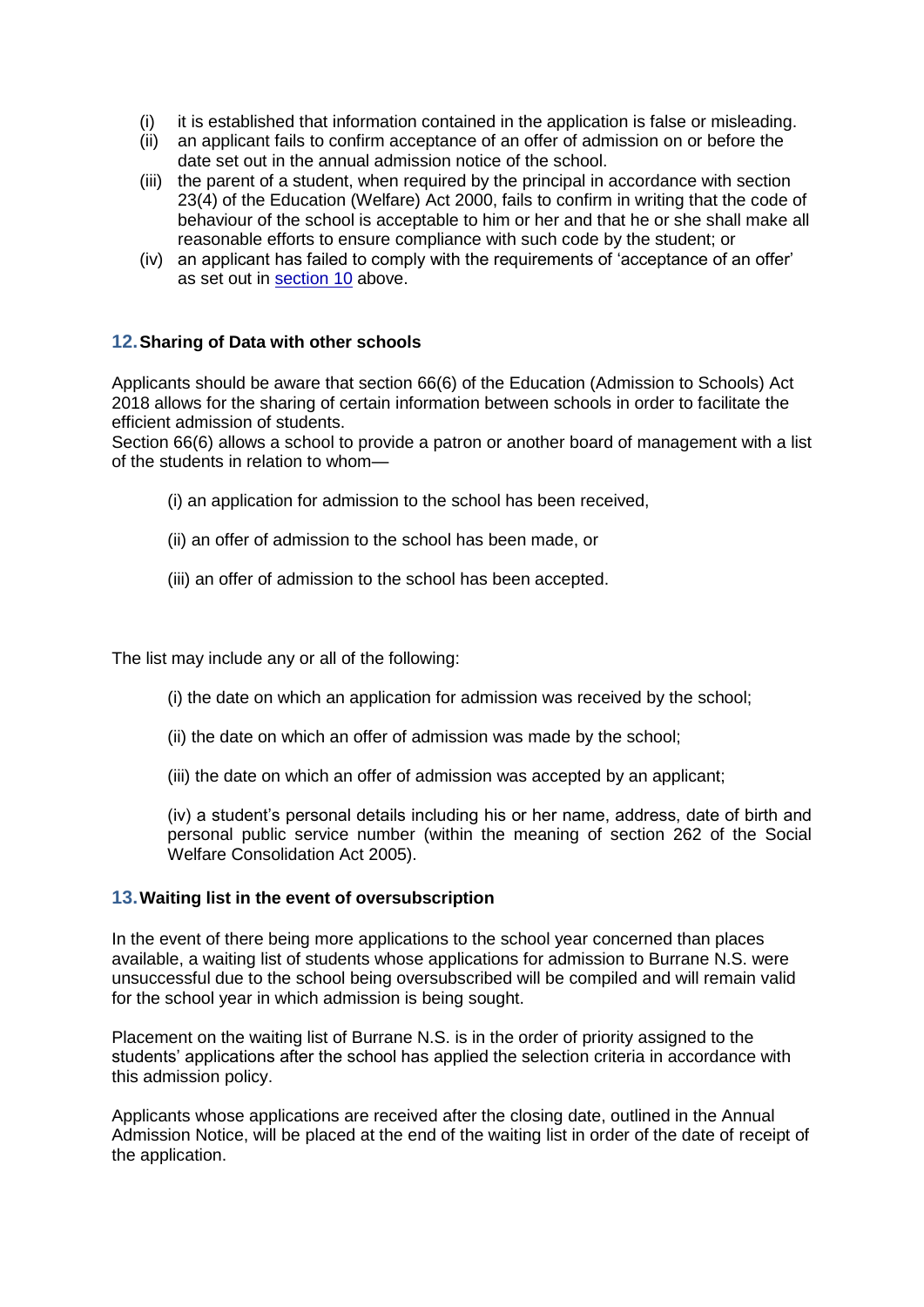- (i) it is established that information contained in the application is false or misleading.
- (ii) an applicant fails to confirm acceptance of an offer of admission on or before the date set out in the annual admission notice of the school.
- (iii) the parent of a student, when required by the principal in accordance with section 23(4) of the Education (Welfare) Act 2000, fails to confirm in writing that the code of behaviour of the school is acceptable to him or her and that he or she shall make all reasonable efforts to ensure compliance with such code by the student; or
- (iv) an applicant has failed to comply with the requirements of 'acceptance of an offer' as set out in section 10 above.

#### **12.Sharing of Data with other schools**

Applicants should be aware that section 66(6) of the Education (Admission to Schools) Act 2018 allows for the sharing of certain information between schools in order to facilitate the efficient admission of students.

Section 66(6) allows a school to provide a patron or another board of management with a list of the students in relation to whom—

- (i) an application for admission to the school has been received,
- (ii) an offer of admission to the school has been made, or
- (iii) an offer of admission to the school has been accepted.

The list may include any or all of the following:

- (i) the date on which an application for admission was received by the school;
- (ii) the date on which an offer of admission was made by the school;
- (iii) the date on which an offer of admission was accepted by an applicant;

(iv) a student's personal details including his or her name, address, date of birth and personal public service number (within the meaning of section 262 of the Social Welfare Consolidation Act 2005).

#### **13.Waiting list in the event of oversubscription**

In the event of there being more applications to the school year concerned than places available, a waiting list of students whose applications for admission to Burrane N.S. were unsuccessful due to the school being oversubscribed will be compiled and will remain valid for the school year in which admission is being sought.

Placement on the waiting list of Burrane N.S. is in the order of priority assigned to the students' applications after the school has applied the selection criteria in accordance with this admission policy.

Applicants whose applications are received after the closing date, outlined in the Annual Admission Notice, will be placed at the end of the waiting list in order of the date of receipt of the application.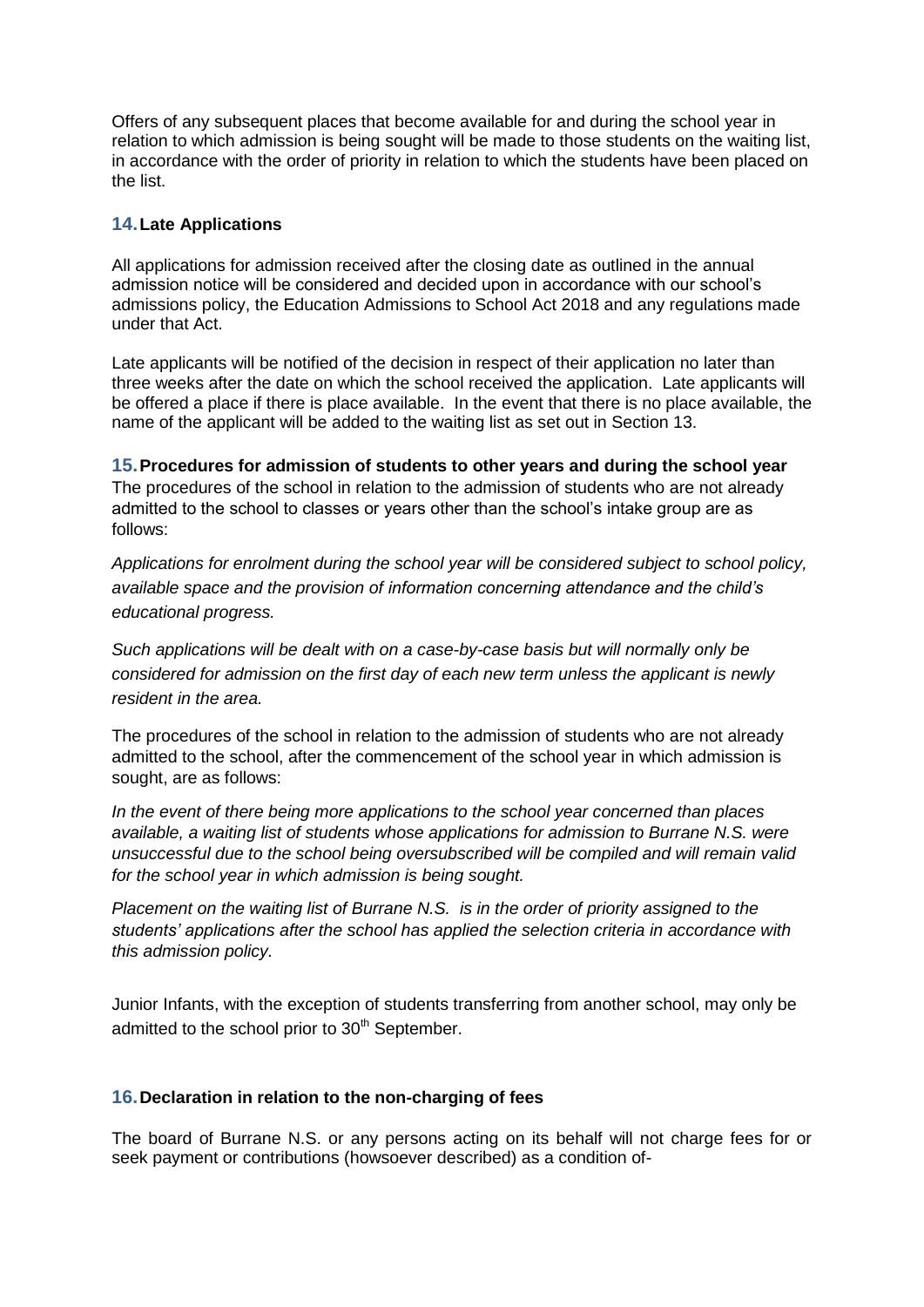Offers of any subsequent places that become available for and during the school year in relation to which admission is being sought will be made to those students on the waiting list, in accordance with the order of priority in relation to which the students have been placed on the list.

## **14.Late Applications**

All applications for admission received after the closing date as outlined in the annual admission notice will be considered and decided upon in accordance with our school's admissions policy, the Education Admissions to School Act 2018 and any regulations made under that Act.

Late applicants will be notified of the decision in respect of their application no later than three weeks after the date on which the school received the application. Late applicants will be offered a place if there is place available. In the event that there is no place available, the name of the applicant will be added to the waiting list as set out in Section 13.

**15.Procedures for admission of students to other years and during the school year** The procedures of the school in relation to the admission of students who are not already admitted to the school to classes or years other than the school's intake group are as follows:

*Applications for enrolment during the school year will be considered subject to school policy, available space and the provision of information concerning attendance and the child's educational progress.*

*Such applications will be dealt with on a case-by-case basis but will normally only be considered for admission on the first day of each new term unless the applicant is newly resident in the area.*

The procedures of the school in relation to the admission of students who are not already admitted to the school, after the commencement of the school year in which admission is sought, are as follows:

*In the event of there being more applications to the school year concerned than places available, a waiting list of students whose applications for admission to Burrane N.S. were unsuccessful due to the school being oversubscribed will be compiled and will remain valid for the school year in which admission is being sought.*

*Placement on the waiting list of Burrane N.S. is in the order of priority assigned to the students' applications after the school has applied the selection criteria in accordance with this admission policy.* 

Junior Infants, with the exception of students transferring from another school, may only be admitted to the school prior to 30<sup>th</sup> September.

#### **16.Declaration in relation to the non-charging of fees**

The board of Burrane N.S. or any persons acting on its behalf will not charge fees for or seek payment or contributions (howsoever described) as a condition of-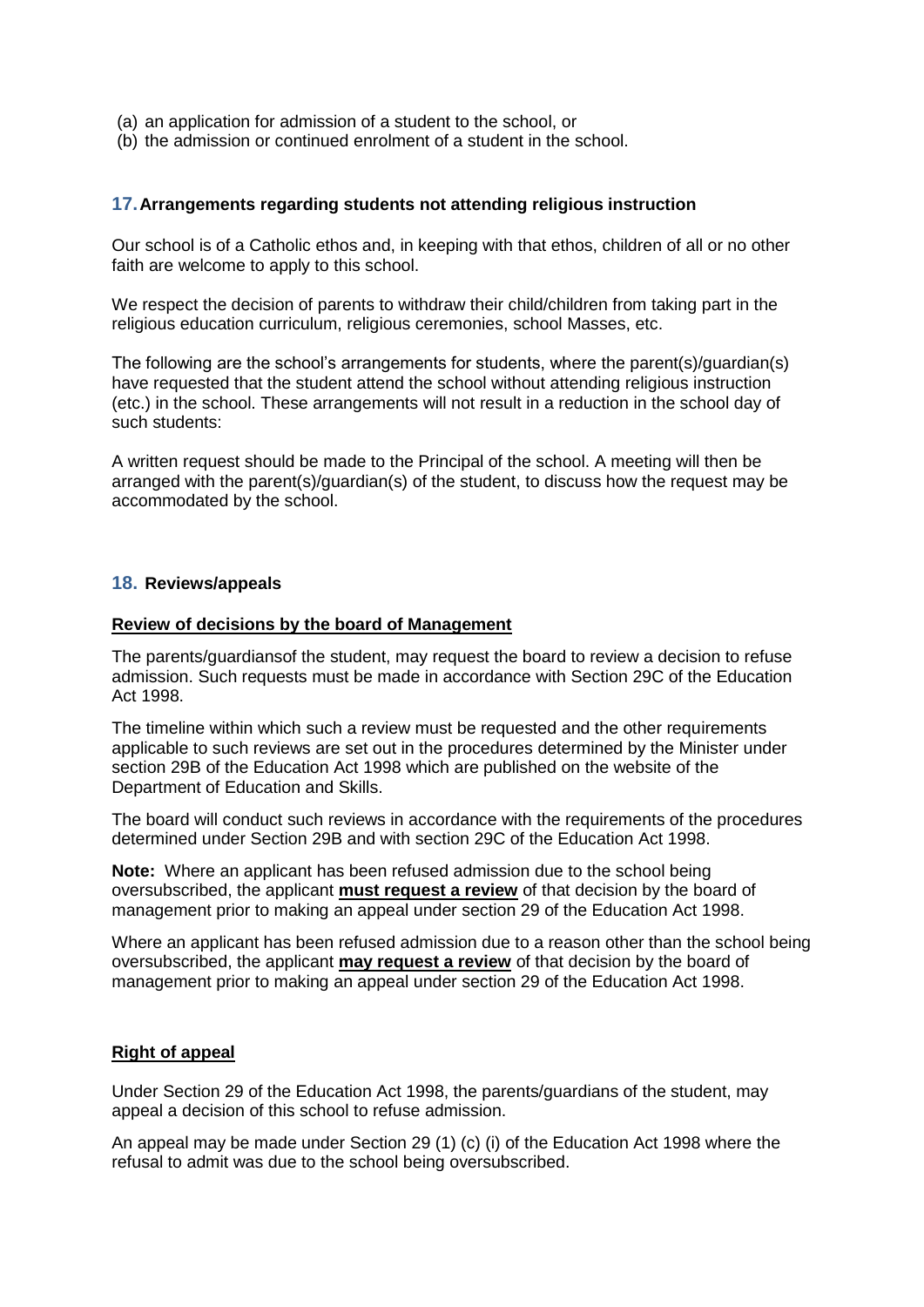- (a) an application for admission of a student to the school, or
- (b) the admission or continued enrolment of a student in the school.

#### **17.Arrangements regarding students not attending religious instruction**

Our school is of a Catholic ethos and, in keeping with that ethos, children of all or no other faith are welcome to apply to this school.

We respect the decision of parents to withdraw their child/children from taking part in the religious education curriculum, religious ceremonies, school Masses, etc.

The following are the school's arrangements for students, where the parent(s)/guardian(s) have requested that the student attend the school without attending religious instruction (etc.) in the school. These arrangements will not result in a reduction in the school day of such students:

A written request should be made to the Principal of the school. A meeting will then be arranged with the parent(s)/guardian(s) of the student, to discuss how the request may be accommodated by the school.

#### **18. Reviews/appeals**

#### **Review of decisions by the board of Management**

The parents/guardiansof the student, may request the board to review a decision to refuse admission. Such requests must be made in accordance with Section 29C of the Education Act 1998.

The timeline within which such a review must be requested and the other requirements applicable to such reviews are set out in the procedures determined by the Minister under section 29B of the Education Act 1998 which are published on the website of the Department of Education and Skills.

The board will conduct such reviews in accordance with the requirements of the procedures determined under Section 29B and with section 29C of the Education Act 1998.

**Note:** Where an applicant has been refused admission due to the school being oversubscribed, the applicant **must request a review** of that decision by the board of management prior to making an appeal under section 29 of the Education Act 1998.

Where an applicant has been refused admission due to a reason other than the school being oversubscribed, the applicant **may request a review** of that decision by the board of management prior to making an appeal under section 29 of the Education Act 1998.

#### **Right of appeal**

Under Section 29 of the Education Act 1998, the parents/guardians of the student, may appeal a decision of this school to refuse admission.

An appeal may be made under Section 29 (1) (c) (i) of the Education Act 1998 where the refusal to admit was due to the school being oversubscribed.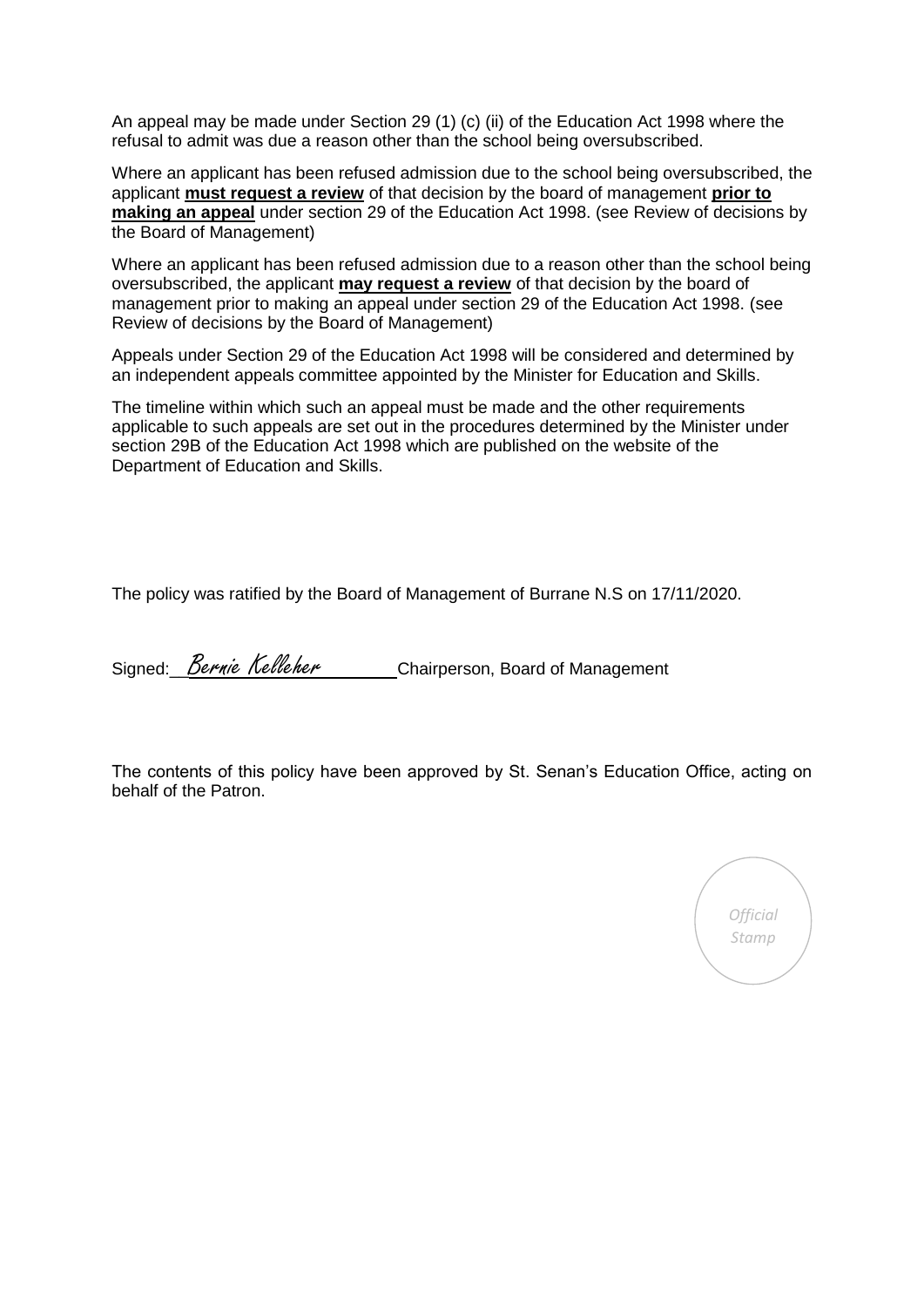An appeal may be made under Section 29 (1) (c) (ii) of the Education Act 1998 where the refusal to admit was due a reason other than the school being oversubscribed.

Where an applicant has been refused admission due to the school being oversubscribed, the applicant **must request a review** of that decision by the board of management **prior to making an appeal** under section 29 of the Education Act 1998. (see Review of decisions by the Board of Management)

Where an applicant has been refused admission due to a reason other than the school being oversubscribed, the applicant **may request a review** of that decision by the board of management prior to making an appeal under section 29 of the Education Act 1998. (see Review of decisions by the Board of Management)

Appeals under Section 29 of the Education Act 1998 will be considered and determined by an independent appeals committee appointed by the Minister for Education and Skills.

The timeline within which such an appeal must be made and the other requirements applicable to such appeals are set out in the procedures determined by the Minister under section 29B of the Education Act 1998 which are published on the website of the Department of Education and Skills.

The policy was ratified by the Board of Management of Burrane N.S on 17/11/2020.

Signed: Bernie Kelleher Chairperson, Board of Management

The contents of this policy have been approved by St. Senan's Education Office, acting on behalf of the Patron.

*Official Stamp*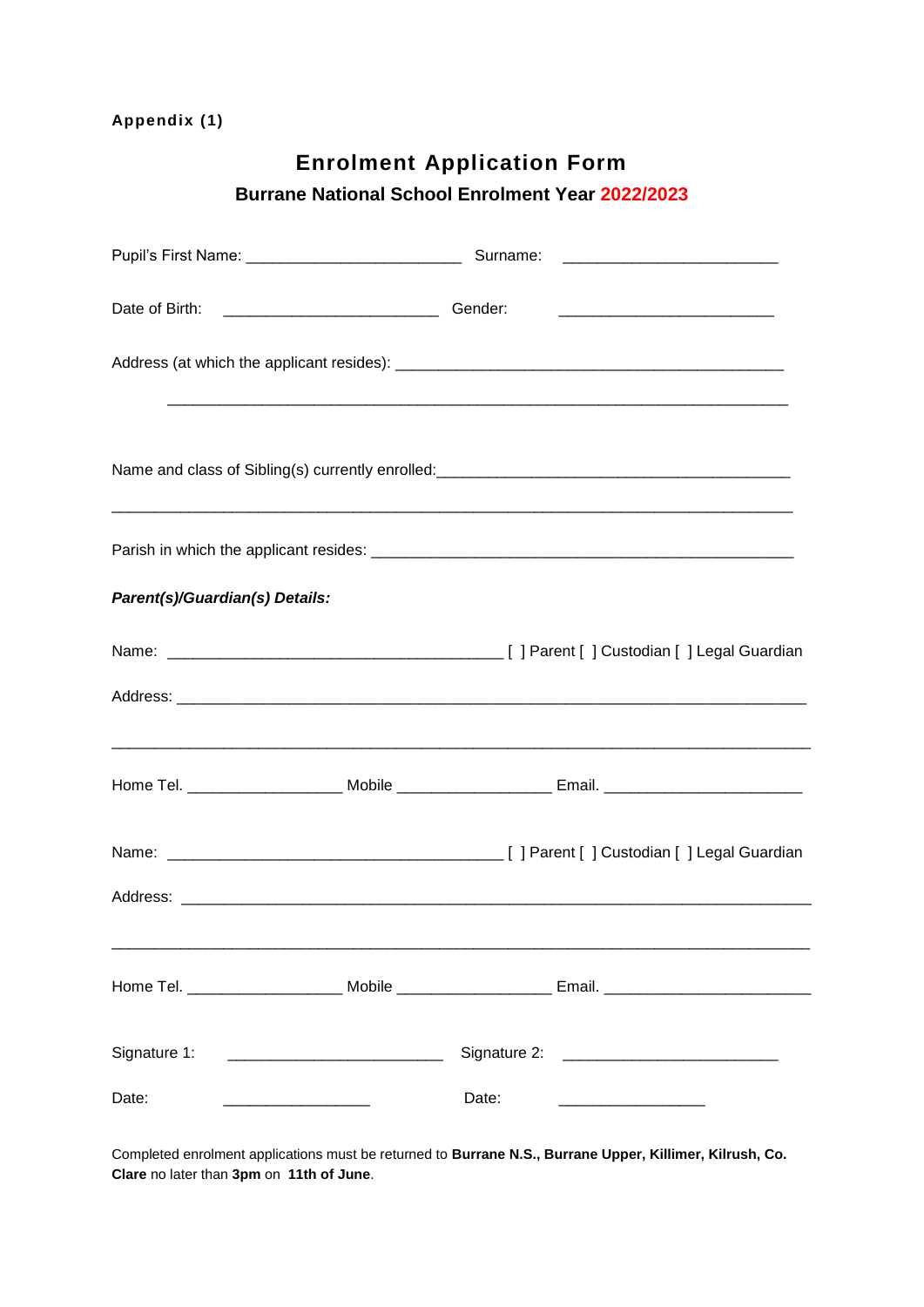# **Enrolment Application Form**

# **Burrane National School Enrolment Year 2022/2023**

| Date of Birth:<br>Cender:      | <u> 1989 - Johann Stoff, deutscher Stoff, der Stoff, der Stoff, der Stoff, der Stoff, der Stoff, der Stoff, der S</u> |
|--------------------------------|-----------------------------------------------------------------------------------------------------------------------|
|                                |                                                                                                                       |
|                                |                                                                                                                       |
|                                |                                                                                                                       |
| Parent(s)/Guardian(s) Details: |                                                                                                                       |
|                                |                                                                                                                       |
|                                |                                                                                                                       |
|                                |                                                                                                                       |
|                                |                                                                                                                       |
|                                |                                                                                                                       |
|                                |                                                                                                                       |
|                                |                                                                                                                       |
| Date:                          | Date:                                                                                                                 |

Completed enrolment applications must be returned to **Burrane N.S., Burrane Upper, Killimer, Kilrush, Co. Clare** no later than **3pm** on **11th of June**.